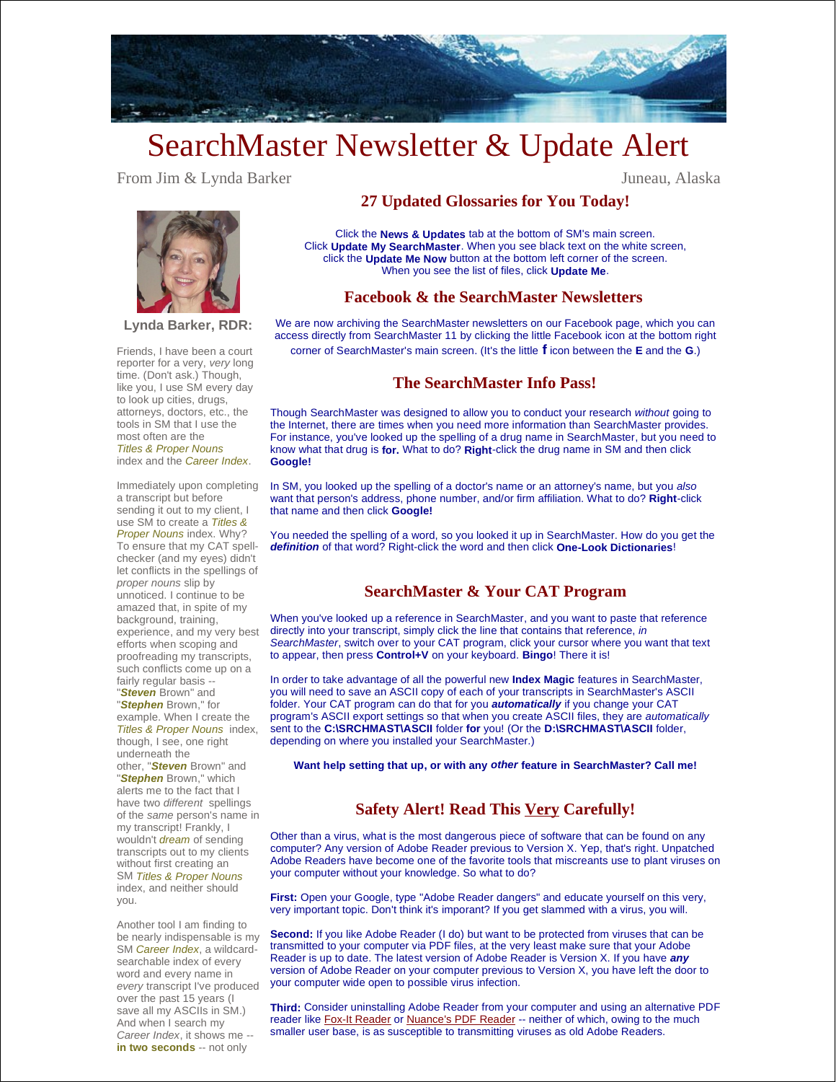

# SearchMaster Newsletter & Update Alert

From Jim & Lynda Barker Juneau, Alaska

**Lynda Barker, RDR:**

Friends, I have been a court reporter for a very, *very* long time. (Don't ask.) Though, like you, I use SM every day to look up cities, drugs, attorneys, doctors, etc., the tools in SM that I use the most often are the *Titles & Proper Nouns* index and the *Career Index*.

Immediately upon completing a transcript but before sending it out to my client, I use SM to create a *Titles & Proper Nouns* index. Why? To ensure that my CAT spellchecker (and my eyes) didn't let conflicts in the spellings of *proper nouns* slip by unnoticed. I continue to be amazed that, in spite of my background, training, experience, and my very best efforts when scoping and proofreading my transcripts, such conflicts come up on a fairly regular basis --

"*Steven* Brown" and "*Stephen* Brown," for example. When I create the

*Titles & Proper Nouns* index, though, I see, one right underneath the

other, "*Steven* Brown" and "*Stephen* Brown," which alerts me to the fact that I have two *different* spellings of the *same* person's name in my transcript! Frankly, I wouldn't *dream* of sending transcripts out to my clients without first creating an SM *Titles & Proper Nouns*  index, and neither should you.

Another tool I am finding to be nearly indispensable is my SM *Career Index*, a wildcardsearchable index of every word and every name in *every* transcript I've produced over the past 15 years (I save all my ASCIIs in SM.) And when I search my *Career Index*, it shows me - **in two seconds** -- not only

## **27 Updated Glossaries for You Today!**

Click the **News & Updates** tab at the bottom of SM's main screen. Click **Update My SearchMaster**. When you see black text on the white screen, click the **Update Me Now** button at the bottom left corner of the screen. When you see the list of files, click **Update Me**.

#### **Facebook & the SearchMaster Newsletters**

We are now archiving the SearchMaster newsletters on our Facebook page, which you can access directly from SearchMaster 11 by clicking the little Facebook icon at the bottom right corner of SearchMaster's main screen. (It's the little **f** icon between the **E** and the **G**.)

### **The SearchMaster Info Pass!**

Though SearchMaster was designed to allow you to conduct your research *without* going to the Internet, there are times when you need more information than SearchMaster provides. For instance, you've looked up the spelling of a drug name in SearchMaster, but you need to know what that drug is **for.** What to do? **Right**-click the drug name in SM and then click **Google!**

In SM, you looked up the spelling of a doctor's name or an attorney's name, but you *also* want that person's address, phone number, and/or firm affiliation. What to do? **Right**-click that name and then click **Google!**

You needed the spelling of a word, so you looked it up in SearchMaster. How do you get the *definition* of that word? Right-click the word and then click **One-Look Dictionaries**!

#### **SearchMaster & Your CAT Program**

When you've looked up a reference in SearchMaster, and you want to paste that reference directly into your transcript, simply click the line that contains that reference, *in SearchMaster*, switch over to your CAT program, click your cursor where you want that text to appear, then press **Control+V** on your keyboard. **Bingo**! There it is!

In order to take advantage of all the powerful new **Index Magic** features in SearchMaster, you will need to save an ASCII copy of each of your transcripts in SearchMaster's ASCII folder. Your CAT program can do that for you *automatically* if you change your CAT program's ASCII export settings so that when you create ASCII files, they are *automatically* sent to the **C:\SRCHMAST\ASCII** folder **for** you! (Or the **D:\SRCHMAST\ASCII** folder, depending on where you installed your SearchMaster.)

**Want help setting that up, or with any** *other* **feature in SearchMaster? Call me!**

# **Safety Alert! Read This Very Carefully!**

Other than a virus, what is the most dangerous piece of software that can be found on any computer? Any version of Adobe Reader previous to Version X. Yep, that's right. Unpatched Adobe Readers have become one of the favorite tools that miscreants use to plant viruses on your computer without your knowledge. So what to do?

**First:** Open your Google, type "Adobe Reader dangers" and educate yourself on this very, very important topic. Don't think it's imporant? If you get slammed with a virus, you will.

**Second:** If you like Adobe Reader (I do) but want to be protected from viruses that can be transmitted to your computer via PDF files, at the very least make sure that your Adobe Reader is up to date. The latest version of Adobe Reader is Version X. If you have *any* version of Adobe Reader on your computer previous to Version X, you have left the door to your computer wide open to possible virus infection.

**Third:** Consider uninstalling Adobe Reader from your computer and using an alternative PDF reader like Fox-It Reader or Nuance's PDF Reader -- neither of which, owing to the much smaller user base, is as susceptible to transmitting viruses as old Adobe Readers.